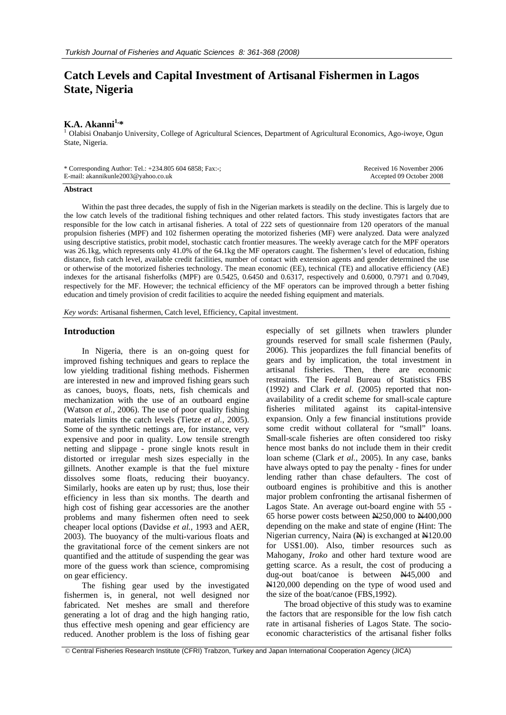# **Catch Levels and Capital Investment of Artisanal Fishermen in Lagos State, Nigeria**

**K.A. Akanni<sup>1,\*</sup>**<br><sup>1</sup> Olabisi Onabanjo University, College of Agricultural Sciences, Department of Agricultural Economics, Ago-iwoye, Ogun State, Nigeria.

| * Corresponding Author: Tel.: $+234.805\,604\,6858$ ; Fax:-; | Received 16 November 2006 |
|--------------------------------------------------------------|---------------------------|
| E-mail: akannikunle2003@yahoo.co.uk                          | Accepted 09 October 2008  |

#### **Abstract**

Within the past three decades, the supply of fish in the Nigerian markets is steadily on the decline. This is largely due to the low catch levels of the traditional fishing techniques and other related factors. This study investigates factors that are responsible for the low catch in artisanal fisheries. A total of 222 sets of questionnaire from 120 operators of the manual propulsion fisheries (MPF) and 102 fishermen operating the motorized fisheries (MF) were analyzed. Data were analyzed using descriptive statistics, probit model, stochastic catch frontier measures. The weekly average catch for the MPF operators was 26.1kg, which represents only 41.0% of the 64.1kg the MF operators caught. The fishermen's level of education, fishing distance, fish catch level, available credit facilities, number of contact with extension agents and gender determined the use or otherwise of the motorized fisheries technology. The mean economic (EE), technical (TE) and allocative efficiency (AE) indexes for the artisanal fisherfolks (MPF) are 0.5425, 0.6450 and 0.6317, respectively and 0.6000, 0.7971 and 0.7049, respectively for the MF. However; the technical efficiency of the MF operators can be improved through a better fishing education and timely provision of credit facilities to acquire the needed fishing equipment and materials.

*Key words*: Artisanal fishermen, Catch level, Efficiency, Capital investment.

# **Introduction**

In Nigeria, there is an on-going quest for improved fishing techniques and gears to replace the low yielding traditional fishing methods. Fishermen are interested in new and improved fishing gears such as canoes, buoys, floats, nets, fish chemicals and mechanization with the use of an outboard engine (Watson *et al.*, 2006). The use of poor quality fishing materials limits the catch levels (Tietze *et al.*, 2005). Some of the synthetic nettings are, for instance, very expensive and poor in quality. Low tensile strength netting and slippage - prone single knots result in distorted or irregular mesh sizes especially in the gillnets. Another example is that the fuel mixture dissolves some floats, reducing their buoyancy. Similarly, hooks are eaten up by rust; thus, lose their efficiency in less than six months. The dearth and high cost of fishing gear accessories are the another problems and many fishermen often need to seek cheaper local options (Davidse *et al.*, 1993 and AER, 2003). The buoyancy of the multi-various floats and the gravitational force of the cement sinkers are not quantified and the attitude of suspending the gear was more of the guess work than science, compromising on gear efficiency.

The fishing gear used by the investigated fishermen is, in general, not well designed nor fabricated. Net meshes are small and therefore generating a lot of drag and the high hanging ratio, thus effective mesh opening and gear efficiency are reduced. Another problem is the loss of fishing gear

especially of set gillnets when trawlers plunder grounds reserved for small scale fishermen (Pauly, 2006). This jeopardizes the full financial benefits of gears and by implication, the total investment in artisanal fisheries. Then, there are economic restraints. The Federal Bureau of Statistics FBS (1992) and Clark *et al*. (2005) reported that nonavailability of a credit scheme for small-scale capture fisheries militated against its capital-intensive expansion. Only a few financial institutions provide some credit without collateral for "small" loans. Small-scale fisheries are often considered too risky hence most banks do not include them in their credit loan scheme (Clark *et al.*, 2005). In any case, banks have always opted to pay the penalty - fines for under lending rather than chase defaulters. The cost of outboard engines is prohibitive and this is another major problem confronting the artisanal fishermen of Lagos State. An average out-board engine with 55 - 65 horse power costs between N250,000 to N400,000 depending on the make and state of engine (Hint: The Nigerian currency, Naira  $(\frac{N}{N})$  is exchanged at  $\frac{N}{N120.00}$ for US\$1.00). Also, timber resources such as Mahogany, *Iroko* and other hard texture wood are getting scarce. As a result, the cost of producing a dug-out boat/canoe is between  $\frac{145,000}{1}$  and N120,000 depending on the type of wood used and the size of the boat/canoe (FBS,1992).

The broad objective of this study was to examine the factors that are responsible for the low fish catch rate in artisanal fisheries of Lagos State. The socioeconomic characteristics of the artisanal fisher folks

© Central Fisheries Research Institute (CFRI) Trabzon, Turkey and Japan International Cooperation Agency (JICA)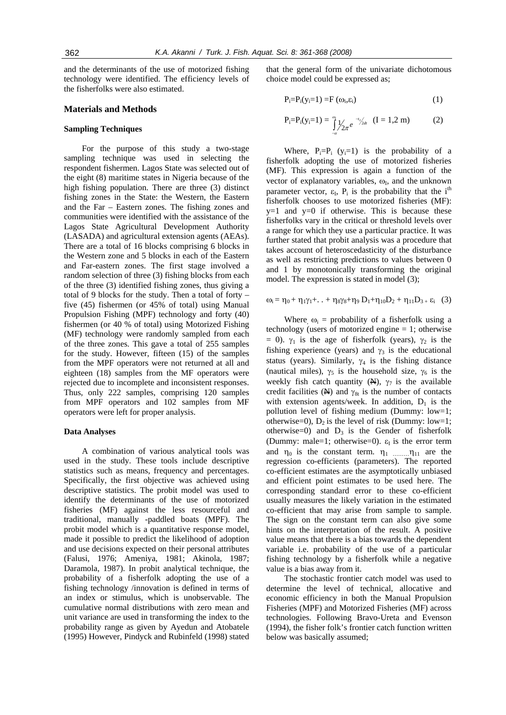and the determinants of the use of motorized fishing technology were identified. The efficiency levels of the fisherfolks were also estimated.

#### **Materials and Methods**

#### **Sampling Techniques**

For the purpose of this study a two-stage sampling technique was used in selecting the respondent fishermen. Lagos State was selected out of the eight (8) maritime states in Nigeria because of the high fishing population. There are three (3) distinct fishing zones in the State: the Western, the Eastern and the Far – Eastern zones. The fishing zones and communities were identified with the assistance of the Lagos State Agricultural Development Authority (LASADA) and agricultural extension agents (AEAs). There are a total of 16 blocks comprising 6 blocks in the Western zone and 5 blocks in each of the Eastern and Far-eastern zones. The first stage involved a random selection of three (3) fishing blocks from each of the three (3) identified fishing zones, thus giving a total of 9 blocks for the study. Then a total of forty – five (45) fishermen (or 45% of total) using Manual Propulsion Fishing (MPF) technology and forty (40) fishermen (or 40 % of total) using Motorized Fishing (MF) technology were randomly sampled from each of the three zones. This gave a total of 255 samples for the study. However, fifteen (15) of the samples from the MPF operators were not returned at all and eighteen (18) samples from the MF operators were rejected due to incomplete and inconsistent responses. Thus, only 222 samples, comprising 120 samples from MPF operators and 102 samples from MF operators were left for proper analysis.

#### **Data Analyses**

A combination of various analytical tools was used in the study. These tools include descriptive statistics such as means, frequency and percentages. Specifically, the first objective was achieved using descriptive statistics. The probit model was used to identify the determinants of the use of motorized fisheries (MF) against the less resourceful and traditional, manually -paddled boats (MPF). The probit model which is a quantitative response model, made it possible to predict the likelihood of adoption and use decisions expected on their personal attributes (Falusi, 1976; Ameniya, 1981; Akinola, 1987; Daramola, 1987). In probit analytical technique, the probability of a fisherfolk adopting the use of a fishing technology /innovation is defined in terms of an index or stimulus, which is unobservable. The cumulative normal distributions with zero mean and unit variance are used in transforming the index to the probability range as given by Ayedun and Atobatele (1995) However, Pindyck and Rubinfeld (1998) stated

that the general form of the univariate dichotomous choice model could be expressed as;

$$
P_i = P_i(y_i = 1) = F(\omega_i, \varepsilon_i)
$$
\n(1)

$$
P_i = P_i(y_i = 1) = \int_{-\alpha}^{\alpha_i} \frac{1}{2\pi} e^{-\frac{1}{2}y_{2dt}} \quad (I = 1, 2 \text{ m})
$$
 (2)

Where,  $P_i = P_i$  (y<sub>i</sub>=1) is the probability of a fisherfolk adopting the use of motorized fisheries (MF). This expression is again a function of the vector of explanatory variables,  $\omega_{I}$ , and the unknown parameter vector,  $\varepsilon_I$ ,  $P_i$  is the probability that the i<sup>th</sup> fisherfolk chooses to use motorized fisheries (MF):  $y=1$  and  $y=0$  if otherwise. This is because these fisherfolks vary in the critical or threshold levels over a range for which they use a particular practice. It was further stated that probit analysis was a procedure that takes account of heteroscedasticity of the disturbance as well as restricting predictions to values between 0 and 1 by monotonically transforming the original model. The expression is stated in model (3);

$$
\omega_i = \eta_0 + \eta_1 \gamma_1 + ... + \eta_8 \gamma_8 + \eta_9 D_1 + \eta_{10} D_2 + \eta_{11} D_3 + \epsilon_i
$$
 (3)

Where  $\omega_i$  = probability of a fisherfolk using a technology (users of motorized engine = 1; otherwise = 0).  $γ_1$  is the age of fisherfolk (years),  $γ_2$  is the fishing experience (years) and  $\gamma_3$  is the educational status (years). Similarly,  $\gamma_4$  is the fishing distance (nautical miles),  $\gamma_5$  is the household size,  $\gamma_6$  is the weekly fish catch quantity  $(\mathbb{H})$ ,  $\gamma_7$  is the available credit facilities ( $\mathbf{\Theta}$ ) and  $\gamma_{8t}$  is the number of contacts with extension agents/week. In addition,  $D_1$  is the pollution level of fishing medium (Dummy: low=1; otherwise=0),  $D_2$  is the level of risk (Dummy: low=1; otherwise=0) and  $D_3$  is the Gender of fisherfolk (Dummy: male=1; otherwise=0).  $\varepsilon_I$  is the error term and  $\eta_0$  is the constant term.  $\eta_1$  ……… $\eta_{11}$  are the regression co-efficients (parameters). The reported co-efficient estimates are the asymptotically unbiased and efficient point estimates to be used here. The corresponding standard error to these co-efficient usually measures the likely variation in the estimated co-efficient that may arise from sample to sample. The sign on the constant term can also give some hints on the interpretation of the result. A positive value means that there is a bias towards the dependent variable i.e. probability of the use of a particular fishing technology by a fisherfolk while a negative value is a bias away from it.

The stochastic frontier catch model was used to determine the level of technical, allocative and economic efficiency in both the Manual Propulsion Fisheries (MPF) and Motorized Fisheries (MF) across technologies. Following Bravo-Ureta and Evenson (1994), the fisher folk's frontier catch function written below was basically assumed;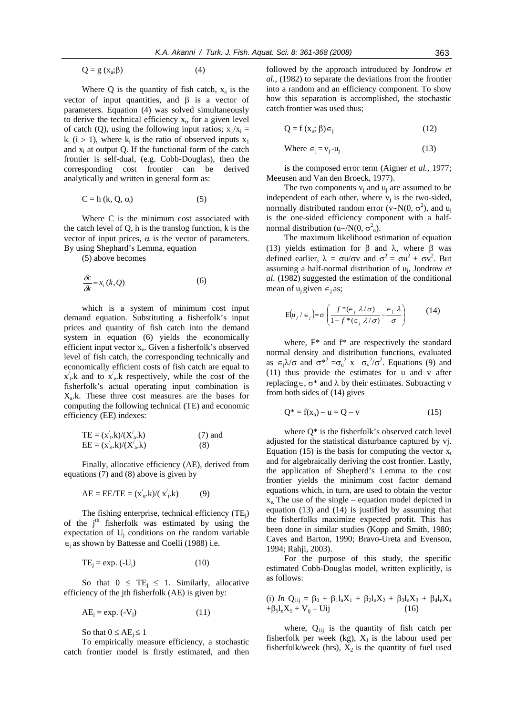$$
Q = g(x_a; \beta) \tag{4}
$$

Where Q is the quantity of fish catch,  $x_a$  is the vector of input quantities, and β is a vector of parameters. Equation (4) was solved simultaneously to derive the technical efficiency  $x_t$ , for a given level of catch (Q), using the following input ratios;  $x_1/x_i =$  $k_i$  (i > 1), where  $k_i$  is the ratio of observed inputs  $x_1$ and  $x_i$  at output Q. If the functional form of the catch frontier is self-dual, (e.g. Cobb-Douglas), then the corresponding cost frontier can be derived analytically and written in general form as:

$$
C = h (k, Q, \alpha) \tag{5}
$$

Where C is the minimum cost associated with the catch level of Q, h is the translog function, k is the vector of input prices,  $\alpha$  is the vector of parameters. By using Shephard's Lemma, equation

(5) above becomes

$$
\frac{\delta c}{\delta k} = x_i(k, Q) \tag{6}
$$

which is a system of minimum cost input demand equation. Substituting a fisherfolk's input prices and quantity of fish catch into the demand system in equation (6) yields the economically efficient input vector  $x_e$ . Given a fisherfolk's observed level of fish catch, the corresponding technically and economically efficient costs of fish catch are equal to  $x'_t$  and to  $x'_e$  k respectively, while the cost of the fisherfolk's actual operating input combination is  $X<sub>a</sub>$ .k. These three cost measures are the bases for computing the following technical (TE) and economic efficiency (EE) indexes:

$$
TE = (x'_{t}.k)/(X'_{a}.k)
$$
  
\n
$$
EE = (x'_{e}.k)/(X'_{a}.k)
$$
\n(7) and  
\n(8)

Finally, allocative efficiency (AE), derived from equations (7) and (8) above is given by

$$
AE = EE/TE = (x'_{e}.k)/(x'_{t}.k)
$$
 (9)

The fishing enterprise, technical efficiency  $(TE_j)$ of the j<sup>th</sup> fisherfolk was estimated by using the expectation of  $U_i$  conditions on the random variable ∈j as shown by Battesse and Coelli (1988) i.e.

$$
TE_i = \exp. (-U_i) \tag{10}
$$

So that  $0 \leq TE_i \leq 1$ . Similarly, allocative efficiency of the jth fisherfolk (AE) is given by:

$$
AE_j = \exp. (-V_j) \tag{11}
$$

So that  $0 \leq AE_i \leq 1$ 

To empirically measure efficiency, a stochastic catch frontier model is firstly estimated, and then

followed by the approach introduced by Jondrow *et al.,* (1982) to separate the deviations from the frontier into a random and an efficiency component. To show how this separation is accomplished, the stochastic catch frontier was used thus;

$$
Q = f(x_a; \beta) \in j \tag{12}
$$

Where 
$$
\epsilon_j = v_j - u_j
$$
 (13)

is the composed error term (Aigner *et al.,* 1977; Meeusen and Van den Broeck, 1977).

The two components  $v_i$  and  $u_i$  are assumed to be independent of each other, where  $v_i$  is the two-sided, normally distributed random error (v~N(0,  $\sigma^2$ ), and u<sub>j</sub> is the one-sided efficiency component with a halfnormal distribution (u∼/N(0,  $\sigma_u^2$ ).

The maximum likelihood estimation of equation (13) yields estimation for β and λ, where β was defined earlier,  $\lambda = \sigma u/\sigma v$  and  $\sigma^2 = \sigma u^2 + \sigma v^2$ . But assuming a half-normal distribution of uj, Jondrow *et al*. (1982) suggested the estimation of the conditional mean of  $u_i$  given  $\in_i$  as;

$$
E(u_j / \epsilon_j) = \sigma \left( \frac{f^*(\epsilon_j \lambda / \sigma)}{1 - f^*(\epsilon_j \lambda / \sigma)} - \frac{\epsilon_j \lambda}{\sigma} \right)
$$
 (14)

where, F\* and f\* are respectively the standard normal density and distribution functions, evaluated as  $\epsilon_j \lambda / \sigma$  and  $\sigma^{*2} = \sigma_u^2$  x  $\sigma_v^2 / \sigma^2$ . Equations (9) and (11) thus provide the estimates for u and v after replacing∈,  $\sigma^*$  and  $\lambda$  by their estimates. Subtracting v from both sides of (14) gives

$$
Q^* = f(x_a) - u = Q - v \tag{15}
$$

where  $O^*$  is the fisherfolk's observed catch level adjusted for the statistical disturbance captured by vj. Equation (15) is the basis for computing the vector  $x_t$ and for algebraically deriving the cost frontier. Lastly, the application of Shepherd's Lemma to the cost frontier yields the minimum cost factor demand equations which, in turn, are used to obtain the vector  $x_e$ . The use of the single – equation model depicted in equation (13) and (14) is justified by assuming that the fisherfolks maximize expected profit. This has been done in similar studies (Kopp and Smith, 1980; Caves and Barton, 1990; Bravo-Ureta and Evenson, 1994; Rahji, 2003).

For the purpose of this study, the specific estimated Cobb-Douglas model, written explicitly, is as follows:

(i) 
$$
\ln Q_{1ij} = \beta_0 + \beta_1 l_n X_1 + \beta_2 l_n X_2 + \beta_3 l_n X_3 + \beta_4 l_n X_4 + \beta_5 l_n X_5 + V_{ij} - Uij
$$
 (16)

where,  $Q_{1ij}$  is the quantity of fish catch per fisherfolk per week (kg),  $X_1$  is the labour used per fisherfolk/week (hrs),  $X_2$  is the quantity of fuel used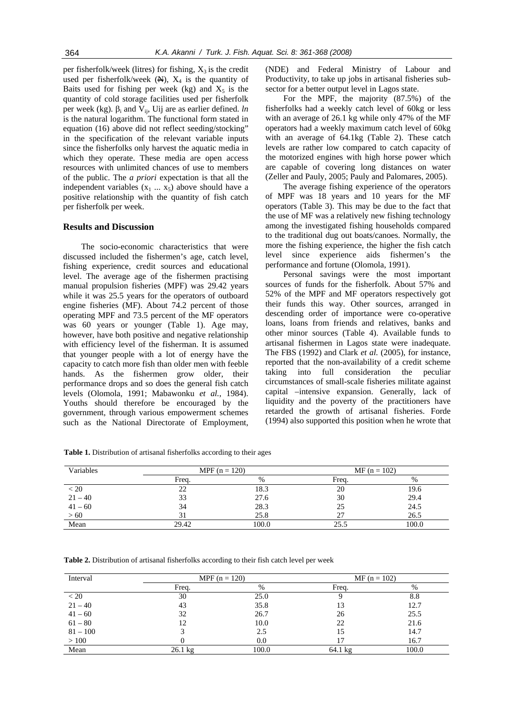per fisherfolk/week (litres) for fishing,  $X_3$  is the credit used per fisherfolk/week  $(\mathbb{H})$ ,  $X_4$  is the quantity of Baits used for fishing per week (kg) and  $X_5$  is the quantity of cold storage facilities used per fisherfolk per week (kg).  $β_i$  and  $V_{ij}$ , Uij are as earlier defined. *ln* is the natural logarithm. The functional form stated in equation (16) above did not reflect seeding/stocking" in the specification of the relevant variable inputs since the fisherfolks only harvest the aquatic media in which they operate. These media are open access resources with unlimited chances of use to members of the public. The *a priori* expectation is that all the independent variables  $(x_1 \ldots x_5)$  above should have a positive relationship with the quantity of fish catch per fisherfolk per week.

# **Results and Discussion**

The socio-economic characteristics that were discussed included the fishermen's age, catch level, fishing experience, credit sources and educational level. The average age of the fishermen practising manual propulsion fisheries (MPF) was 29.42 years while it was 25.5 years for the operators of outboard engine fisheries (MF). About 74.2 percent of those operating MPF and 73.5 percent of the MF operators was 60 years or younger (Table 1). Age may, however, have both positive and negative relationship with efficiency level of the fisherman. It is assumed that younger people with a lot of energy have the capacity to catch more fish than older men with feeble hands. As the fishermen grow older, their performance drops and so does the general fish catch levels (Olomola, 1991; Mabawonku *et al.*, 1984). Youths should therefore be encouraged by the government, through various empowerment schemes such as the National Directorate of Employment, (NDE) and Federal Ministry of Labour and Productivity, to take up jobs in artisanal fisheries subsector for a better output level in Lagos state.

For the MPF, the majority (87.5%) of the fisherfolks had a weekly catch level of 60kg or less with an average of 26.1 kg while only 47% of the MF operators had a weekly maximum catch level of 60kg with an average of 64.1kg (Table 2). These catch levels are rather low compared to catch capacity of the motorized engines with high horse power which are capable of covering long distances on water (Zeller and Pauly, 2005; Pauly and Palomares, 2005).

The average fishing experience of the operators of MPF was 18 years and 10 years for the MF operators (Table 3). This may be due to the fact that the use of MF was a relatively new fishing technology among the investigated fishing households compared to the traditional dug out boats/canoes. Normally, the more the fishing experience, the higher the fish catch level since experience aids fishermen's the performance and fortune (Olomola, 1991).

Personal savings were the most important sources of funds for the fisherfolk. About 57% and 52% of the MPF and MF operators respectively got their funds this way. Other sources, arranged in descending order of importance were co-operative loans, loans from friends and relatives, banks and other minor sources (Table 4). Available funds to artisanal fishermen in Lagos state were inadequate. The FBS (1992) and Clark *et al.* (2005), for instance, reported that the non-availability of a credit scheme taking into full consideration the peculiar circumstances of small-scale fisheries militate against capital –intensive expansion. Generally, lack of liquidity and the poverty of the practitioners have retarded the growth of artisanal fisheries. Forde (1994) also supported this position when he wrote that

| Variables | MPF $(n = 120)$ |       | $MF (n = 102)$ |       |
|-----------|-----------------|-------|----------------|-------|
|           | Freq.           | %     | Freq.          | %     |
| < 20      | 22              | 18.3  | 20             | 19.6  |
| $21 - 40$ | 33              | 27.6  | 30             | 29.4  |
| $41 - 60$ | 34              | 28.3  | 25             | 24.5  |
| >60       |                 | 25.8  |                | 26.5  |
| Mean      | 29.42           | 100.0 | 25.5           | 100.0 |

**Table 1.** Distribution of artisanal fisherfolks according to their ages

**Table 2.** Distribution of artisanal fisherfolks according to their fish catch level per week

| Interval   | MPF $(n = 120)$   |       | $MF (n = 102)$    |       |
|------------|-------------------|-------|-------------------|-------|
|            | Freq.             | $\%$  | Frea.             | $\%$  |
| < 20       | 30                | 25.0  |                   | 8.8   |
| $21 - 40$  | 43                | 35.8  | 13                | 12.7  |
| $41 - 60$  | 32                | 26.7  | 26                | 25.5  |
| $61 - 80$  | 12                | 10.0  | 22                | 21.6  |
| $81 - 100$ |                   | 2.5   | 15                | 14.7  |
| >100       |                   | 0.0   |                   | 16.7  |
| Mean       | $26.1 \text{ kg}$ | 100.0 | $64.1 \text{ kg}$ | 100.0 |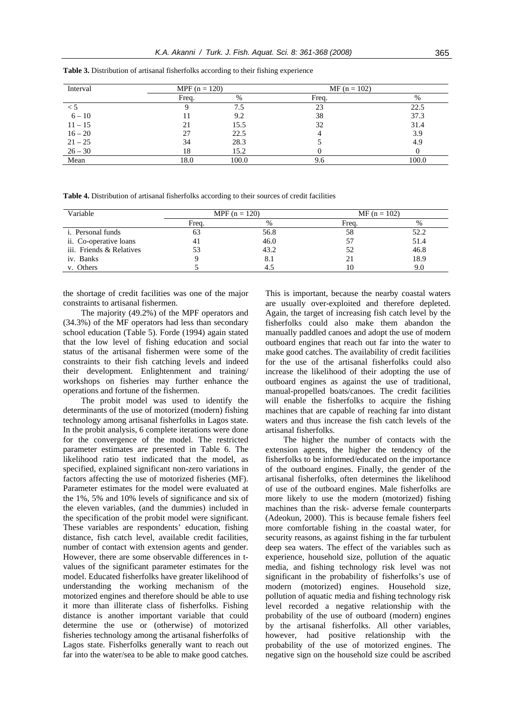| Interval  | MPF $(n = 120)$ |       | $MF (n = 102)$ |       |
|-----------|-----------------|-------|----------------|-------|
|           | Freq.           | %     | Frea.          | $\%$  |
| < 5       |                 | 7.5   | 23             | 22.5  |
| $6 - 10$  |                 | 9.2   | 38             | 37.3  |
| $11 - 15$ |                 | 15.5  | 32             | 31.4  |
| $16 - 20$ |                 | 22.5  |                | 3.9   |
| $21 - 25$ | 34              | 28.3  |                | 4.9   |
| $26 - 30$ | 18              | 15.2  |                |       |
| Mean      | 18.0            | 100.0 | 9.6            | 100.0 |

**Table 3.** Distribution of artisanal fisherfolks according to their fishing experience

**Table 4.** Distribution of artisanal fisherfolks according to their sources of credit facilities

| Variable                 | MPF $(n = 120)$ |      | $MF (n = 102)$ |      |
|--------------------------|-----------------|------|----------------|------|
|                          | Frea.           | $\%$ | Frea.          | %    |
| <i>i.</i> Personal funds | OJ              | 56.8 | 58             | 52.2 |
| ii. Co-operative loans   |                 | 46.0 |                | 51.4 |
| iii. Friends & Relatives |                 | 43.2 |                | 46.8 |
| iv. Banks                |                 |      |                | 18.9 |
| v. Others                |                 |      |                | 9.0  |

the shortage of credit facilities was one of the major constraints to artisanal fishermen.

The majority (49.2%) of the MPF operators and (34.3%) of the MF operators had less than secondary school education (Table 5). Forde (1994) again stated that the low level of fishing education and social status of the artisanal fishermen were some of the constraints to their fish catching levels and indeed their development. Enlightenment and training/ workshops on fisheries may further enhance the operations and fortune of the fishermen.

The probit model was used to identify the determinants of the use of motorized (modern) fishing technology among artisanal fisherfolks in Lagos state. In the probit analysis, 6 complete iterations were done for the convergence of the model. The restricted parameter estimates are presented in Table 6. The likelihood ratio test indicated that the model, as specified, explained significant non-zero variations in factors affecting the use of motorized fisheries (MF). Parameter estimates for the model were evaluated at the 1%, 5% and 10% levels of significance and six of the eleven variables, (and the dummies) included in the specification of the probit model were significant. These variables are respondents' education, fishing distance, fish catch level, available credit facilities, number of contact with extension agents and gender. However, there are some observable differences in tvalues of the significant parameter estimates for the model. Educated fisherfolks have greater likelihood of understanding the working mechanism of the motorized engines and therefore should be able to use it more than illiterate class of fisherfolks. Fishing distance is another important variable that could determine the use or (otherwise) of motorized fisheries technology among the artisanal fisherfolks of Lagos state. Fisherfolks generally want to reach out far into the water/sea to be able to make good catches.

This is important, because the nearby coastal waters are usually over-exploited and therefore depleted. Again, the target of increasing fish catch level by the fisherfolks could also make them abandon the manually paddled canoes and adopt the use of modern outboard engines that reach out far into the water to make good catches. The availability of credit facilities for the use of the artisanal fisherfolks could also increase the likelihood of their adopting the use of outboard engines as against the use of traditional, manual-propelled boats/canoes. The credit facilities will enable the fisherfolks to acquire the fishing machines that are capable of reaching far into distant waters and thus increase the fish catch levels of the artisanal fisherfolks.

The higher the number of contacts with the extension agents, the higher the tendency of the fisherfolks to be informed/educated on the importance of the outboard engines. Finally, the gender of the artisanal fisherfolks, often determines the likelihood of use of the outboard engines. Male fisherfolks are more likely to use the modern (motorized) fishing machines than the risk- adverse female counterparts (Adeokun, 2000). This is because female fishers feel more comfortable fishing in the coastal water, for security reasons, as against fishing in the far turbulent deep sea waters. The effect of the variables such as experience, household size, pollution of the aquatic media, and fishing technology risk level was not significant in the probability of fisherfolks's use of modern (motorized) engines. Household size, pollution of aquatic media and fishing technology risk level recorded a negative relationship with the probability of the use of outboard (modern) engines by the artisanal fisherfolks. All other variables, however, had positive relationship with the probability of the use of motorized engines. The negative sign on the household size could be ascribed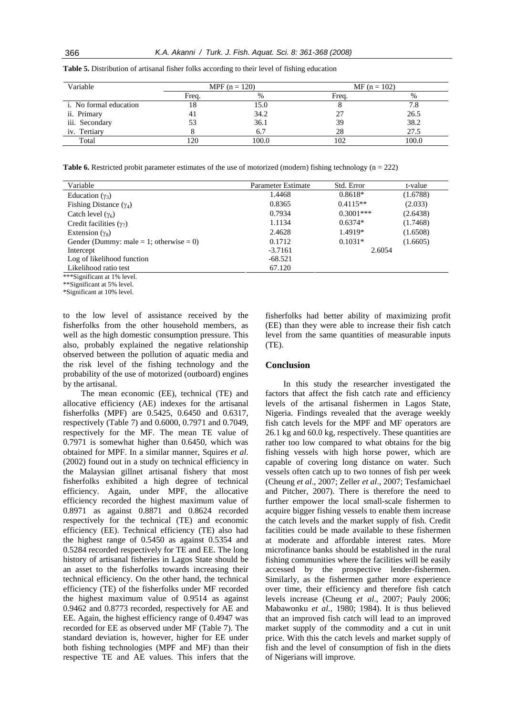| Variable                      | MPF $(n = 120)$ |       | $MF (n = 102)$ |       |
|-------------------------------|-----------------|-------|----------------|-------|
|                               | Freq.           | $\%$  | Frea.          | %     |
| <i>i.</i> No formal education | 18              | 15.0  |                | 7.8   |
| ii. Primary                   |                 | 34.2  |                | 26.5  |
| iii. Secondary                |                 | 36.1  | 39             | 38.2  |
| iv. Tertiary                  |                 | 6.7   | 28             | 27.5  |
| Total                         | 120             | 100.0 | 102            | 100.0 |

**Table 5.** Distribution of artisanal fisher folks according to their level of fishing education

**Table 6.** Restricted probit parameter estimates of the use of motorized (modern) fishing technology (n = 222)

| Variable                                | Parameter Estimate | Std. Error  | t-value  |
|-----------------------------------------|--------------------|-------------|----------|
| Education $(\gamma_3)$                  | 1.4468             | $0.8618*$   | (1.6788) |
| Fishing Distance $(\gamma_4)$           | 0.8365             | $0.4115**$  | (2.033)  |
| Catch level $(\gamma_6)$                | 0.7934             | $0.3001***$ | (2.6438) |
| Credit facilities $(\gamma_7)$          | 1.1134             | $0.6374*$   | (1.7468) |
| Extension $(\gamma_8)$                  | 2.4628             | 1.4919*     | (1.6508) |
| Gender (Dummy: male = 1; otherwise = 0) | 0.1712             | $0.1031*$   | (1.6605) |
| Intercept                               | $-3.7161$          | 2.6054      |          |
| Log of likelihood function              | $-68.521$          |             |          |
| Likelihood ratio test                   | 67.120             |             |          |
| ***Significant at 1% level.             |                    |             |          |

\*\*Significant at 5% level.

\*Significant at 10% level.

to the low level of assistance received by the fisherfolks from the other household members, as well as the high domestic consumption pressure. This also, probably explained the negative relationship observed between the pollution of aquatic media and the risk level of the fishing technology and the probability of the use of motorized (outboard) engines by the artisanal.

The mean economic (EE), technical (TE) and allocative efficiency (AE) indexes for the artisanal fisherfolks (MPF) are 0.5425, 0.6450 and 0.6317, respectively (Table 7) and 0.6000, 0.7971 and 0.7049, respectively for the MF. The mean TE value of 0.7971 is somewhat higher than 0.6450, which was obtained for MPF. In a similar manner, Squires *et al*. (2002) found out in a study on technical efficiency in the Malaysian gillnet artisanal fishery that most fisherfolks exhibited a high degree of technical efficiency. Again, under MPF, the allocative efficiency recorded the highest maximum value of 0.8971 as against 0.8871 and 0.8624 recorded respectively for the technical (TE) and economic efficiency (EE). Technical efficiency (TE) also had the highest range of 0.5450 as against 0.5354 and 0.5284 recorded respectively for TE and EE. The long history of artisanal fisheries in Lagos State should be an asset to the fisherfolks towards increasing their technical efficiency. On the other hand, the technical efficiency (TE) of the fisherfolks under MF recorded the highest maximum value of 0.9514 as against 0.9462 and 0.8773 recorded, respectively for AE and EE. Again, the highest efficiency range of 0.4947 was recorded for EE as observed under MF (Table 7). The standard deviation is, however, higher for EE under both fishing technologies (MPF and MF) than their respective TE and AE values. This infers that the

fisherfolks had better ability of maximizing profit (EE) than they were able to increase their fish catch level from the same quantities of measurable inputs (TE).

#### **Conclusion**

In this study the researcher investigated the factors that affect the fish catch rate and efficiency levels of the artisanal fishermen in Lagos State, Nigeria. Findings revealed that the average weekly fish catch levels for the MPF and MF operators are 26.1 kg and 60.0 kg, respectively. These quantities are rather too low compared to what obtains for the big fishing vessels with high horse power, which are capable of covering long distance on water. Such vessels often catch up to two tonnes of fish per week (Cheung *et al*., 2007; Zeller *et al*., 2007; Tesfamichael and Pitcher, 2007). There is therefore the need to further empower the local small-scale fishermen to acquire bigger fishing vessels to enable them increase the catch levels and the market supply of fish. Credit facilities could be made available to these fishermen at moderate and affordable interest rates. More microfinance banks should be established in the rural fishing communities where the facilities will be easily accessed by the prospective lender-fishermen. Similarly, as the fishermen gather more experience over time, their efficiency and therefore fish catch levels increase (Cheung *et al*., 2007; Pauly 2006; Mabawonku *et al.*, 1980; 1984). It is thus believed that an improved fish catch will lead to an improved market supply of the commodity and a cut in unit price. With this the catch levels and market supply of fish and the level of consumption of fish in the diets of Nigerians will improve.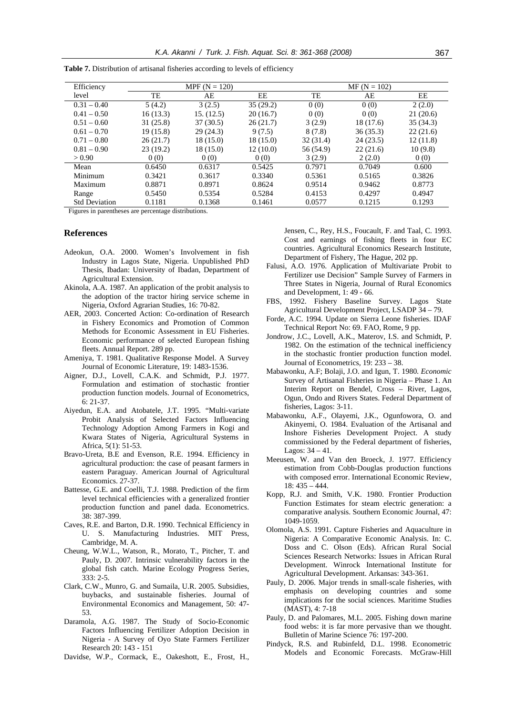| Efficiency           | MPF $(N = 120)$ |            |           | $MF (N = 102)$ |           |          |
|----------------------|-----------------|------------|-----------|----------------|-----------|----------|
| level                | TE              | AE         | EE        | TE             | AE        | EE       |
| $0.31 - 0.40$        | 5(4.2)          | 3(2.5)     | 35(29.2)  | 0(0)           | 0(0)      | 2(2.0)   |
| $0.41 - 0.50$        | 16(13.3)        | 15. (12.5) | 20(16.7)  | 0(0)           | 0(0)      | 21(20.6) |
| $0.51 - 0.60$        | 31(25.8)        | 37(30.5)   | 26(21.7)  | 3(2.9)         | 18 (17.6) | 35(34.3) |
| $0.61 - 0.70$        | 19(15.8)        | 29(24.3)   | 9(7.5)    | 8(7.8)         | 36(35.3)  | 22(21.6) |
| $0.71 - 0.80$        | 26(21.7)        | 18 (15.0)  | 18 (15.0) | 32(31.4)       | 24(23.5)  | 12(11.8) |
| $0.81 - 0.90$        | 23(19.2)        | 18(15.0)   | 12(10.0)  | 56 (54.9)      | 22(21.6)  | 10(9.8)  |
| > 0.90               | 0(0)            | 0(0)       | 0(0)      | 3(2.9)         | 2(2.0)    | 0(0)     |
| Mean                 | 0.6450          | 0.6317     | 0.5425    | 0.7971         | 0.7049    | 0.600    |
| Minimum              | 0.3421          | 0.3617     | 0.3340    | 0.5361         | 0.5165    | 0.3826   |
| Maximum              | 0.8871          | 0.8971     | 0.8624    | 0.9514         | 0.9462    | 0.8773   |
| Range                | 0.5450          | 0.5354     | 0.5284    | 0.4153         | 0.4297    | 0.4947   |
| <b>Std Deviation</b> | 0.1181          | 0.1368     | 0.1461    | 0.0577         | 0.1215    | 0.1293   |

Table 7. Distribution of artisanal fisheries according to levels of efficiency

Figures in parentheses are percentage distributions.

### **References**

- Adeokun, O.A. 2000. Women's Involvement in fish Industry in Lagos State, Nigeria. Unpublished PhD Thesis, Ibadan: University of Ibadan, Department of Agricultural Extension.
- Akinola, A.A. 1987. An application of the probit analysis to the adoption of the tractor hiring service scheme in Nigeria, Oxford Agrarian Studies, 16: 70-82.
- AER, 2003. Concerted Action: Co-ordination of Research in Fishery Economics and Promotion of Common Methods for Economic Assessment in EU Fisheries. Economic performance of selected European fishing fleets. Annual Report. 289 pp.
- Ameniya, T. 1981. Qualitative Response Model. A Survey Journal of Economic Literature, 19: 1483-1536.
- Aigner, D.J., Lovell, C.A.K. and Schmidt, P.J. 1977. Formulation and estimation of stochastic frontier production function models. Journal of Econometrics, 6: 21-37.
- Aiyedun, E.A. and Atobatele, J.T. 1995. "Multi-variate Probit Analysis of Selected Factors Influencing Technology Adoption Among Farmers in Kogi and Kwara States of Nigeria, Agricultural Systems in Africa, 5(1): 51-53.
- Bravo-Ureta, B.E and Evenson, R.E. 1994. Efficiency in agricultural production: the case of peasant farmers in eastern Paraguay. American Journal of Agricultural Economics. 27-37.
- Battesse, G.E. and Coelli, T.J. 1988. Prediction of the firm level technical efficiencies with a generalized frontier production function and panel dada. Econometrics. 38: 387-399.
- Caves, R.E. and Barton, D.R. 1990. Technical Efficiency in U. S. Manufacturing Industries. MIT Press, Cambridge, M. A.
- Cheung, W.W.L., Watson, R., Morato, T., Pitcher, T. and Pauly, D. 2007. Intrinsic vulnerability factors in the global fish catch. Marine Ecology Progress Series, 333: 2-5.
- Clark, C.W., Munro, G. and Sumaila, U.R. 2005. Subsidies, buybacks, and sustainable fisheries. Journal of Environmental Economics and Management, 50: 47- 53.
- Daramola, A.G. 1987. The Study of Socio-Economic Factors Influencing Fertilizer Adoption Decision in Nigeria - A Survey of Oyo State Farmers Fertilizer Research 20: 143 - 151
- Davidse, W.P., Cormack, E., Oakeshott, E., Frost, H.,

Jensen, C., Rey, H.S., Foucault, F. and Taal, C. 1993. Cost and earnings of fishing fleets in four EC countries. Agricultural Economics Research Institute, Department of Fishery, The Hague, 202 pp.

- Falusi, A.O. 1976. Application of Multivariate Probit to Fertilizer use Decision" Sample Survey of Farmers in Three States in Nigeria, Journal of Rural Economics and Development, 1: 49 - 66.
- FBS, 1992. Fishery Baseline Survey. Lagos State Agricultural Development Project, LSADP 34 – 79.
- Forde, A.C. 1994. Update on Sierra Leone fisheries. IDAF Technical Report No: 69. FAO, Rome, 9 pp.
- Jondrow, J.C., Lovell, A.K., Materov, I.S. and Schmidt, P. 1982. On the estimation of the technical inefficiency in the stochastic frontier production function model. Journal of Econometrics, 19: 233 – 38.
- Mabawonku, A.F; Bolaji, J.O. and Igun, T. 1980. *Economic*  Survey of Artisanal Fisheries in Nigeria – Phase 1. An Interim Report on Bendel, Cross – River, Lagos, Ogun, Ondo and Rivers States. Federal Department of fisheries, Lagos: 3-11.
- Mabawonku, A.F., Olayemi, J.K., Ogunfowora, O. and Akinyemi, O. 1984. Evaluation of the Artisanal and Inshore Fisheries Development Project. A study commissioned by the Federal department of fisheries, Lagos: 34 – 41.
- Meeusen, W. and Van den Broeck, J. 1977. Efficiency estimation from Cobb-Douglas production functions with composed error. International Economic Review, 18: 435 – 444.
- Kopp, R.J. and Smith, V.K. 1980. Frontier Production Function Estimates for steam electric generation: a comparative analysis. Southern Economic Journal, 47: 1049-1059.
- Olomola, A.S. 1991. Capture Fisheries and Aquaculture in Nigeria: A Comparative Economic Analysis. In: C. Doss and C. Olson (Eds). African Rural Social Sciences Research Networks: Issues in African Rural Development. Winrock International Institute for Agricultural Development. Arkansas: 343-361.
- Pauly, D. 2006. Major trends in small-scale fisheries, with emphasis on developing countries and some implications for the social sciences. Maritime Studies (MAST), 4: 7-18
- Pauly, D. and Palomares, M.L. 2005. Fishing down marine food webs: it is far more pervasive than we thought. Bulletin of Marine Science 76: 197-200.
- Pindyck, R.S. and Rubinfeld, D.L. 1998. Econometric Models and Economic Forecasts. McGraw-Hill